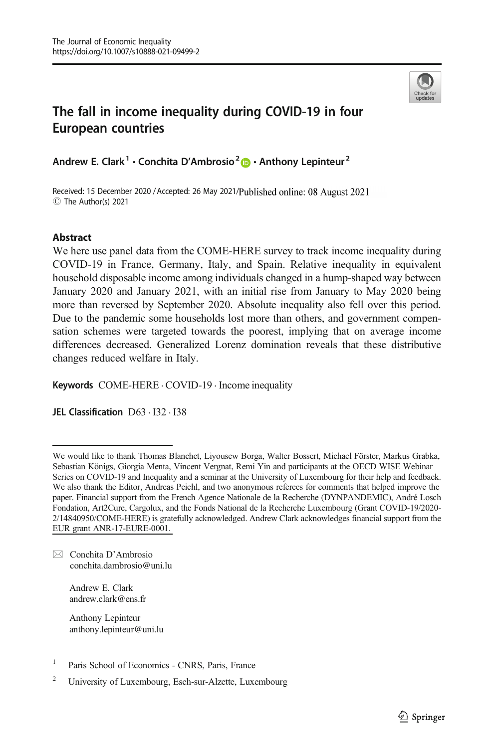

# The fall in income inequality during COVID-19 in four European countries

Andrew E. Clark<sup>1</sup> • Conchita D'Ambrosio<sup>2</sup>  $\bullet$  • Anthony Lepinteur<sup>2</sup>

Received: 15 December 2020 / Accepted: 26 May 2021/Published online: 08 August 2021 C The Author(s) 2021

#### Abstract

We here use panel data from the COME-HERE survey to track income inequality during COVID-19 in France, Germany, Italy, and Spain. Relative inequality in equivalent household disposable income among individuals changed in a hump-shaped way between January 2020 and January 2021, with an initial rise from January to May 2020 being more than reversed by September 2020. Absolute inequality also fell over this period. Due to the pandemic some households lost more than others, and government compensation schemes were targeted towards the poorest, implying that on average income differences decreased. Generalized Lorenz domination reveals that these distributive changes reduced welfare in Italy.

Keywords  $COME$ -HERE  $\cdot$  COVID-19  $\cdot$  Income inequality

JEL Classification D63 . I32 . I38

 $\boxtimes$  Conchita D'Ambrosio [conchita.dambrosio@uni.lu](mailto:conchita.dambrosio@uni.lu)

> Andrew E. Clark andrew.clark@ens.fr

Anthony Lepinteur anthony.lepinteur@uni.lu

We would like to thank Thomas Blanchet, Liyousew Borga, Walter Bossert, Michael Förster, Markus Grabka, Sebastian Königs, Giorgia Menta, Vincent Vergnat, Remi Yin and participants at the OECD WISE Webinar Series on COVID-19 and Inequality and a seminar at the University of Luxembourg for their help and feedback. We also thank the Editor, Andreas Peichl, and two anonymous referees for comments that helped improve the paper. Financial support from the French Agence Nationale de la Recherche (DYNPANDEMIC), André Losch Fondation, Art2Cure, Cargolux, and the Fonds National de la Recherche Luxembourg (Grant COVID-19/2020- 2/14840950/COME-HERE) is gratefully acknowledged. Andrew Clark acknowledges financial support from the EUR grant ANR-17-EURE-0001.

<sup>&</sup>lt;sup>1</sup> Paris School of Economics - CNRS, Paris, France

<sup>2</sup> University of Luxembourg, Esch-sur-Alzette, Luxembourg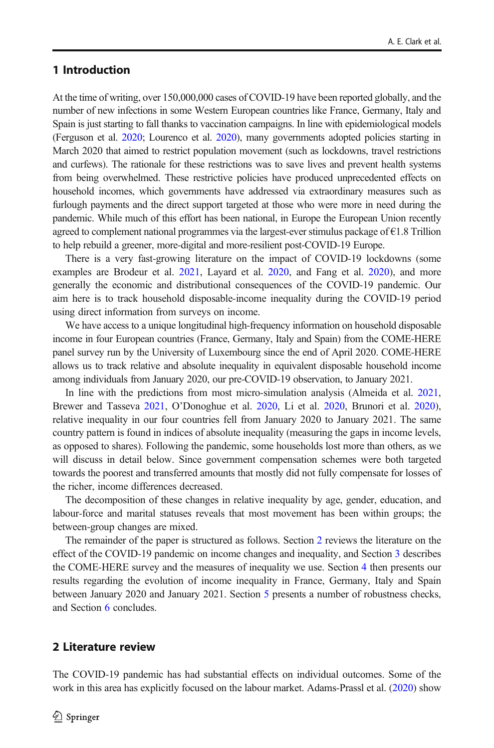# <span id="page-1-0"></span>1 Introduction

At the time of writing, over 150,000,000 cases of COVID-19 have been reported globally, and the number of new infections in some Western European countries like France, Germany, Italy and Spain is just starting to fall thanks to vaccination campaigns. In line with epidemiological models (Ferguson et al. [2020;](#page-17-0) Lourenco et al. [2020\)](#page-18-0), many governments adopted policies starting in March 2020 that aimed to restrict population movement (such as lockdowns, travel restrictions and curfews). The rationale for these restrictions was to save lives and prevent health systems from being overwhelmed. These restrictive policies have produced unprecedented effects on household incomes, which governments have addressed via extraordinary measures such as furlough payments and the direct support targeted at those who were more in need during the pandemic. While much of this effort has been national, in Europe the European Union recently agreed to complement national programmes via the largest-ever stimulus package of €1.8 Trillion to help rebuild a greener, more-digital and more-resilient post-COVID-19 Europe.

There is a very fast-growing literature on the impact of COVID-19 lockdowns (some examples are Brodeur et al. [2021,](#page-17-0) Layard et al. [2020](#page-18-0), and Fang et al. [2020\)](#page-17-0), and more generally the economic and distributional consequences of the COVID-19 pandemic. Our aim here is to track household disposable-income inequality during the COVID-19 period using direct information from surveys on income.

We have access to a unique longitudinal high-frequency information on household disposable income in four European countries (France, Germany, Italy and Spain) from the COME-HERE panel survey run by the University of Luxembourg since the end of April 2020. COME-HERE allows us to track relative and absolute inequality in equivalent disposable household income among individuals from January 2020, our pre-COVID-19 observation, to January 2021.

In line with the predictions from most micro-simulation analysis (Almeida et al. [2021](#page-17-0), Brewer and Tasseva [2021,](#page-17-0) O'Donoghue et al. [2020,](#page-18-0) Li et al. [2020,](#page-18-0) Brunori et al. [2020](#page-17-0)), relative inequality in our four countries fell from January 2020 to January 2021. The same country pattern is found in indices of absolute inequality (measuring the gaps in income levels, as opposed to shares). Following the pandemic, some households lost more than others, as we will discuss in detail below. Since government compensation schemes were both targeted towards the poorest and transferred amounts that mostly did not fully compensate for losses of the richer, income differences decreased.

The decomposition of these changes in relative inequality by age, gender, education, and labour-force and marital statuses reveals that most movement has been within groups; the between-group changes are mixed.

The remainder of the paper is structured as follows. Section 2 reviews the literature on the effect of the COVID-19 pandemic on income changes and inequality, and Section [3](#page-3-0) describes the COME-HERE survey and the measures of inequality we use. Section [4](#page-9-0) then presents our results regarding the evolution of income inequality in France, Germany, Italy and Spain between January 2020 and January 2021. Section [5](#page-13-0) presents a number of robustness checks, and Section [6](#page-16-0) concludes.

### 2 Literature review

The COVID-19 pandemic has had substantial effects on individual outcomes. Some of the work in this area has explicitly focused on the labour market. Adams-Prassl et al. [\(2020\)](#page-17-0) show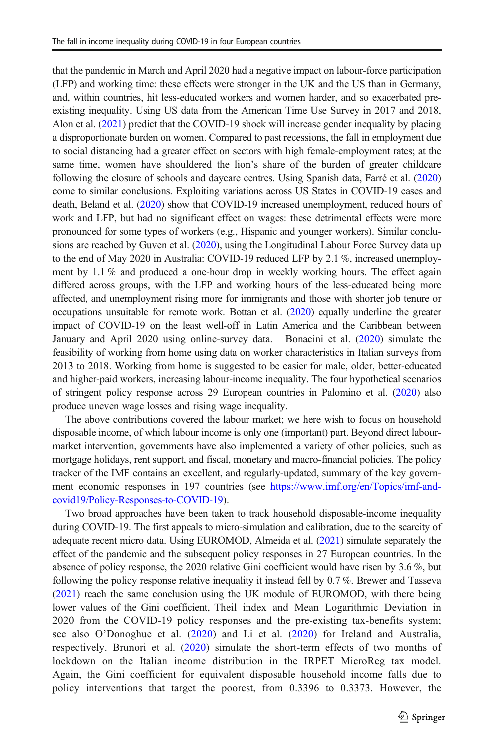that the pandemic in March and April 2020 had a negative impact on labour-force participation (LFP) and working time: these effects were stronger in the UK and the US than in Germany, and, within countries, hit less-educated workers and women harder, and so exacerbated preexisting inequality. Using US data from the American Time Use Survey in 2017 and 2018, Alon et al. ([2021](#page-17-0)) predict that the COVID-19 shock will increase gender inequality by placing a disproportionate burden on women. Compared to past recessions, the fall in employment due to social distancing had a greater effect on sectors with high female-employment rates; at the same time, women have shouldered the lion's share of the burden of greater childcare following the closure of schools and daycare centres. Using Spanish data, Farré et al. [\(2020\)](#page-17-0) come to similar conclusions. Exploiting variations across US States in COVID-19 cases and death, Beland et al. ([2020](#page-17-0)) show that COVID-19 increased unemployment, reduced hours of work and LFP, but had no significant effect on wages: these detrimental effects were more pronounced for some types of workers (e.g., Hispanic and younger workers). Similar conclu-sions are reached by Guven et al. ([2020](#page-18-0)), using the Longitudinal Labour Force Survey data up to the end of May 2020 in Australia: COVID-19 reduced LFP by 2.1 %, increased unemployment by 1.1 % and produced a one-hour drop in weekly working hours. The effect again differed across groups, with the LFP and working hours of the less-educated being more affected, and unemployment rising more for immigrants and those with shorter job tenure or occupations unsuitable for remote work. Bottan et al. [\(2020\)](#page-17-0) equally underline the greater impact of COVID-19 on the least well-off in Latin America and the Caribbean between January and April 2020 using online-survey data. Bonacini et al. [\(2020](#page-17-0)) simulate the feasibility of working from home using data on worker characteristics in Italian surveys from 2013 to 2018. Working from home is suggested to be easier for male, older, better-educated and higher-paid workers, increasing labour-income inequality. The four hypothetical scenarios of stringent policy response across 29 European countries in Palomino et al. [\(2020\)](#page-18-0) also produce uneven wage losses and rising wage inequality.

The above contributions covered the labour market; we here wish to focus on household disposable income, of which labour income is only one (important) part. Beyond direct labourmarket intervention, governments have also implemented a variety of other policies, such as mortgage holidays, rent support, and fiscal, monetary and macro-financial policies. The policy tracker of the IMF contains an excellent, and regularly-updated, summary of the key government economic responses in 197 countries (see [https://www.imf.org/en/Topics/imf-and](https://www.imf.org/en/Topics/imf--and--covid19/Policy--Responses--to--COVID--19)[covid19/Policy-Responses-to-COVID-19](https://www.imf.org/en/Topics/imf--and--covid19/Policy--Responses--to--COVID--19)).

Two broad approaches have been taken to track household disposable-income inequality during COVID-19. The first appeals to micro-simulation and calibration, due to the scarcity of adequate recent micro data. Using EUROMOD, Almeida et al. [\(2021\)](#page-17-0) simulate separately the effect of the pandemic and the subsequent policy responses in 27 European countries. In the absence of policy response, the 2020 relative Gini coefficient would have risen by 3.6 %, but following the policy response relative inequality it instead fell by 0.7 %. Brewer and Tasseva ([2021](#page-17-0)) reach the same conclusion using the UK module of EUROMOD, with there being lower values of the Gini coefficient, Theil index and Mean Logarithmic Deviation in 2020 from the COVID-19 policy responses and the pre-existing tax-benefits system; see also O'Donoghue et al. ([2020](#page-18-0)) and Li et al. ([2020](#page-18-0)) for Ireland and Australia, respectively. Brunori et al. ([2020](#page-17-0)) simulate the short-term effects of two months of lockdown on the Italian income distribution in the IRPET MicroReg tax model. Again, the Gini coefficient for equivalent disposable household income falls due to policy interventions that target the poorest, from 0.3396 to 0.3373. However, the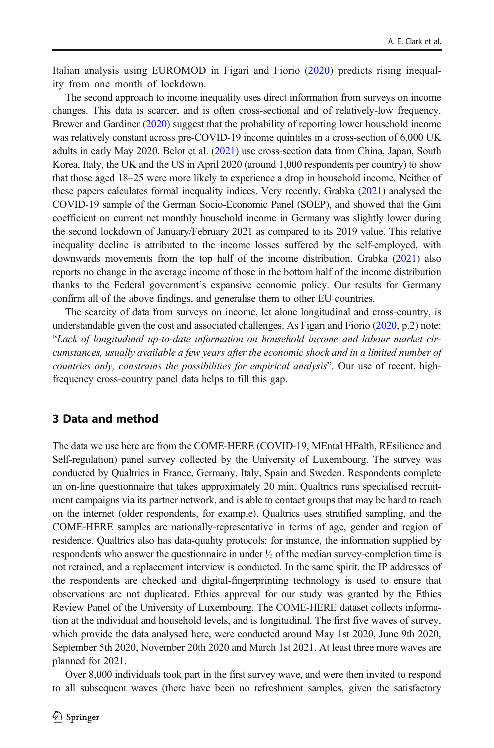<span id="page-3-0"></span>Italian analysis using EUROMOD in Figari and Fiorio [\(2020\)](#page-17-0) predicts rising inequality from one month of lockdown.

The second approach to income inequality uses direct information from surveys on income changes. This data is scarcer, and is often cross-sectional and of relatively-low frequency. Brewer and Gardiner ([2020](#page-17-0)) suggest that the probability of reporting lower household income was relatively constant across pre-COVID-19 income quintiles in a cross-section of 6,000 UK adults in early May 2020. Belot et al. ([2021](#page-17-0)) use cross-section data from China, Japan, South Korea, Italy, the UK and the US in April 2020 (around 1,000 respondents per country) to show that those aged 18–25 were more likely to experience a drop in household income. Neither of these papers calculates formal inequality indices. Very recently, Grabka ([2021](#page-17-0)) analysed the COVID-19 sample of the German Socio-Economic Panel (SOEP), and showed that the Gini coefficient on current net monthly household income in Germany was slightly lower during the second lockdown of January/February 2021 as compared to its 2019 value. This relative inequality decline is attributed to the income losses suffered by the self-employed, with downwards movements from the top half of the income distribution. Grabka [\(2021\)](#page-17-0) also reports no change in the average income of those in the bottom half of the income distribution thanks to the Federal government's expansive economic policy. Our results for Germany confirm all of the above findings, and generalise them to other EU countries.

The scarcity of data from surveys on income, let alone longitudinal and cross-country, is understandable given the cost and associated challenges. As Figari and Fiorio ([2020](#page-17-0), p.2) note: "Lack of longitudinal up-to-date information on household income and labour market circumstances, usually available a few years after the economic shock and in a limited number of countries only, constrains the possibilities for empirical analysis". Our use of recent, highfrequency cross-country panel data helps to fill this gap.

## 3 Data and method

The data we use here are from the COME-HERE (COVID-19, MEntal HEalth, REsilience and Self-regulation) panel survey collected by the University of Luxembourg. The survey was conducted by Qualtrics in France, Germany, Italy, Spain and Sweden. Respondents complete an on-line questionnaire that takes approximately 20 min. Qualtrics runs specialised recruitment campaigns via its partner network, and is able to contact groups that may be hard to reach on the internet (older respondents, for example). Qualtrics uses stratified sampling, and the COME-HERE samples are nationally-representative in terms of age, gender and region of residence. Qualtrics also has data-quality protocols: for instance, the information supplied by respondents who answer the questionnaire in under ½ of the median survey-completion time is not retained, and a replacement interview is conducted. In the same spirit, the IP addresses of the respondents are checked and digital-fingerprinting technology is used to ensure that observations are not duplicated. Ethics approval for our study was granted by the Ethics Review Panel of the University of Luxembourg. The COME-HERE dataset collects information at the individual and household levels, and is longitudinal. The first five waves of survey, which provide the data analysed here, were conducted around May 1st 2020, June 9th 2020, September 5th 2020, November 20th 2020 and March 1st 2021. At least three more waves are planned for 2021.

Over 8,000 individuals took part in the first survey wave, and were then invited to respond to all subsequent waves (there have been no refreshment samples, given the satisfactory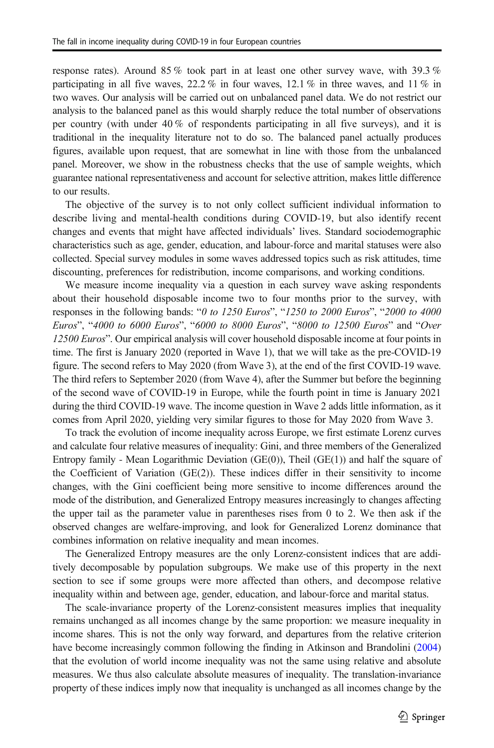response rates). Around 85 % took part in at least one other survey wave, with 39.3 % participating in all five waves,  $22.2\%$  in four waves,  $12.1\%$  in three waves, and  $11\%$  in two waves. Our analysis will be carried out on unbalanced panel data. We do not restrict our analysis to the balanced panel as this would sharply reduce the total number of observations per country (with under 40 % of respondents participating in all five surveys), and it is traditional in the inequality literature not to do so. The balanced panel actually produces figures, available upon request, that are somewhat in line with those from the unbalanced panel. Moreover, we show in the robustness checks that the use of sample weights, which guarantee national representativeness and account for selective attrition, makes little difference to our results.

The objective of the survey is to not only collect sufficient individual information to describe living and mental-health conditions during COVID-19, but also identify recent changes and events that might have affected individuals' lives. Standard sociodemographic characteristics such as age, gender, education, and labour-force and marital statuses were also collected. Special survey modules in some waves addressed topics such as risk attitudes, time discounting, preferences for redistribution, income comparisons, and working conditions.

We measure income inequality via a question in each survey wave asking respondents about their household disposable income two to four months prior to the survey, with responses in the following bands: "0 to 1250 Euros", "1250 to 2000 Euros", "2000 to 4000 Euros", "4000 to 6000 Euros", "6000 to 8000 Euros", "8000 to 12500 Euros" and "Over 12500 Euros". Our empirical analysis will cover household disposable income at four points in time. The first is January 2020 (reported in Wave 1), that we will take as the pre-COVID-19 figure. The second refers to May 2020 (from Wave 3), at the end of the first COVID-19 wave. The third refers to September 2020 (from Wave 4), after the Summer but before the beginning of the second wave of COVID-19 in Europe, while the fourth point in time is January 2021 during the third COVID-19 wave. The income question in Wave 2 adds little information, as it comes from April 2020, yielding very similar figures to those for May 2020 from Wave 3.

To track the evolution of income inequality across Europe, we first estimate Lorenz curves and calculate four relative measures of inequality: Gini, and three members of the Generalized Entropy family - Mean Logarithmic Deviation ( $GE(0)$ ), Theil  $(GE(1))$  and half the square of the Coefficient of Variation (GE(2)). These indices differ in their sensitivity to income changes, with the Gini coefficient being more sensitive to income differences around the mode of the distribution, and Generalized Entropy measures increasingly to changes affecting the upper tail as the parameter value in parentheses rises from 0 to 2. We then ask if the observed changes are welfare-improving, and look for Generalized Lorenz dominance that combines information on relative inequality and mean incomes.

The Generalized Entropy measures are the only Lorenz-consistent indices that are additively decomposable by population subgroups. We make use of this property in the next section to see if some groups were more affected than others, and decompose relative inequality within and between age, gender, education, and labour-force and marital status.

The scale-invariance property of the Lorenz-consistent measures implies that inequality remains unchanged as all incomes change by the same proportion: we measure inequality in income shares. This is not the only way forward, and departures from the relative criterion have become increasingly common following the finding in Atkinson and Brandolini [\(2004\)](#page-17-0) that the evolution of world income inequality was not the same using relative and absolute measures. We thus also calculate absolute measures of inequality. The translation-invariance property of these indices imply now that inequality is unchanged as all incomes change by the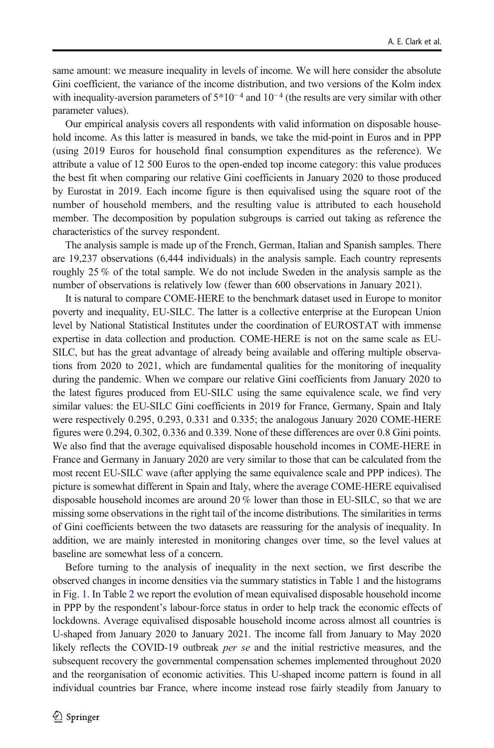same amount: we measure inequality in levels of income. We will here consider the absolute Gini coefficient, the variance of the income distribution, and two versions of the Kolm index with inequality-aversion parameters of  $5*10<sup>-4</sup>$  and  $10<sup>-4</sup>$  (the results are very similar with other parameter values).

Our empirical analysis covers all respondents with valid information on disposable household income. As this latter is measured in bands, we take the mid-point in Euros and in PPP (using 2019 Euros for household final consumption expenditures as the reference). We attribute a value of 12 500 Euros to the open-ended top income category: this value produces the best fit when comparing our relative Gini coefficients in January 2020 to those produced by Eurostat in 2019. Each income figure is then equivalised using the square root of the number of household members, and the resulting value is attributed to each household member. The decomposition by population subgroups is carried out taking as reference the characteristics of the survey respondent.

The analysis sample is made up of the French, German, Italian and Spanish samples. There are 19,237 observations (6,444 individuals) in the analysis sample. Each country represents roughly 25 % of the total sample. We do not include Sweden in the analysis sample as the number of observations is relatively low (fewer than 600 observations in January 2021).

It is natural to compare COME-HERE to the benchmark dataset used in Europe to monitor poverty and inequality, EU-SILC. The latter is a collective enterprise at the European Union level by National Statistical Institutes under the coordination of EUROSTAT with immense expertise in data collection and production. COME-HERE is not on the same scale as EU-SILC, but has the great advantage of already being available and offering multiple observations from 2020 to 2021, which are fundamental qualities for the monitoring of inequality during the pandemic. When we compare our relative Gini coefficients from January 2020 to the latest figures produced from EU-SILC using the same equivalence scale, we find very similar values: the EU-SILC Gini coefficients in 2019 for France, Germany, Spain and Italy were respectively 0.295, 0.293, 0.331 and 0.335; the analogous January 2020 COME-HERE figures were 0.294, 0.302, 0.336 and 0.339. None of these differences are over 0.8 Gini points. We also find that the average equivalised disposable household incomes in COME-HERE in France and Germany in January 2020 are very similar to those that can be calculated from the most recent EU-SILC wave (after applying the same equivalence scale and PPP indices). The picture is somewhat different in Spain and Italy, where the average COME-HERE equivalised disposable household incomes are around 20 % lower than those in EU-SILC, so that we are missing some observations in the right tail of the income distributions. The similarities in terms of Gini coefficients between the two datasets are reassuring for the analysis of inequality. In addition, we are mainly interested in monitoring changes over time, so the level values at baseline are somewhat less of a concern.

Before turning to the analysis of inequality in the next section, we first describe the observed changes in income densities via the summary statistics in Table [1](#page-6-0) and the histograms in Fig. [1](#page-7-0). In Table [2](#page-8-0) we report the evolution of mean equivalised disposable household income in PPP by the respondent's labour-force status in order to help track the economic effects of lockdowns. Average equivalised disposable household income across almost all countries is U-shaped from January 2020 to January 2021. The income fall from January to May 2020 likely reflects the COVID-19 outbreak per se and the initial restrictive measures, and the subsequent recovery the governmental compensation schemes implemented throughout 2020 and the reorganisation of economic activities. This U-shaped income pattern is found in all individual countries bar France, where income instead rose fairly steadily from January to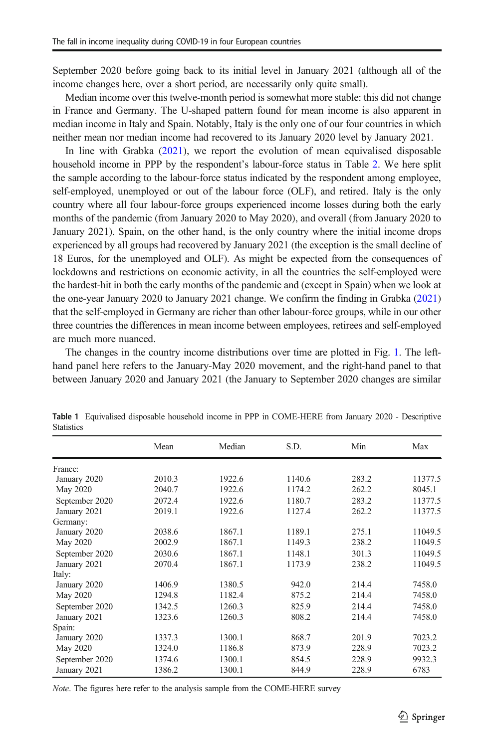<span id="page-6-0"></span>September 2020 before going back to its initial level in January 2021 (although all of the income changes here, over a short period, are necessarily only quite small).

Median income over this twelve-month period is somewhat more stable: this did not change in France and Germany. The U-shaped pattern found for mean income is also apparent in median income in Italy and Spain. Notably, Italy is the only one of our four countries in which neither mean nor median income had recovered to its January 2020 level by January 2021.

In line with Grabka [\(2021](#page-17-0)), we report the evolution of mean equivalised disposable household income in PPP by the respondent's labour-force status in Table [2](#page-8-0). We here split the sample according to the labour-force status indicated by the respondent among employee, self-employed, unemployed or out of the labour force (OLF), and retired. Italy is the only country where all four labour-force groups experienced income losses during both the early months of the pandemic (from January 2020 to May 2020), and overall (from January 2020 to January 2021). Spain, on the other hand, is the only country where the initial income drops experienced by all groups had recovered by January 2021 (the exception is the small decline of 18 Euros, for the unemployed and OLF). As might be expected from the consequences of lockdowns and restrictions on economic activity, in all the countries the self-employed were the hardest-hit in both the early months of the pandemic and (except in Spain) when we look at the one-year January 2020 to January 2021 change. We confirm the finding in Grabka [\(2021\)](#page-17-0) that the self-employed in Germany are richer than other labour-force groups, while in our other three countries the differences in mean income between employees, retirees and self-employed are much more nuanced.

The changes in the country income distributions over time are plotted in Fig. [1](#page-7-0). The lefthand panel here refers to the January-May 2020 movement, and the right-hand panel to that between January 2020 and January 2021 (the January to September 2020 changes are similar

|                | Mean   | Median | S.D.   | Min   | Max     |
|----------------|--------|--------|--------|-------|---------|
| France:        |        |        |        |       |         |
| January 2020   | 2010.3 | 1922.6 | 1140.6 | 283.2 | 11377.5 |
| May 2020       | 2040.7 | 1922.6 | 1174.2 | 262.2 | 8045.1  |
| September 2020 | 2072.4 | 1922.6 | 1180.7 | 283.2 | 11377.5 |
| January 2021   | 2019.1 | 1922.6 | 1127.4 | 262.2 | 11377.5 |
| Germany:       |        |        |        |       |         |
| January 2020   | 2038.6 | 1867.1 | 1189.1 | 275.1 | 11049.5 |
| May 2020       | 2002.9 | 1867.1 | 1149.3 | 238.2 | 11049.5 |
| September 2020 | 2030.6 | 1867.1 | 1148.1 | 301.3 | 11049.5 |
| January 2021   | 2070.4 | 1867.1 | 1173.9 | 238.2 | 11049.5 |
| Italy:         |        |        |        |       |         |
| January 2020   | 1406.9 | 1380.5 | 942.0  | 214.4 | 7458.0  |
| May 2020       | 1294.8 | 1182.4 | 875.2  | 214.4 | 7458.0  |
| September 2020 | 1342.5 | 1260.3 | 825.9  | 214.4 | 7458.0  |
| January 2021   | 1323.6 | 1260.3 | 808.2  | 214.4 | 7458.0  |
| Spain:         |        |        |        |       |         |
| January 2020   | 1337.3 | 1300.1 | 868.7  | 201.9 | 7023.2  |
| May 2020       | 1324.0 | 1186.8 | 873.9  | 228.9 | 7023.2  |
| September 2020 | 1374.6 | 1300.1 | 854.5  | 228.9 | 9932.3  |
| January 2021   | 1386.2 | 1300.1 | 844.9  | 228.9 | 6783    |

Table 1 Equivalised disposable household income in PPP in COME-HERE from January 2020 - Descriptive **Statistics** 

Note. The figures here refer to the analysis sample from the COME-HERE survey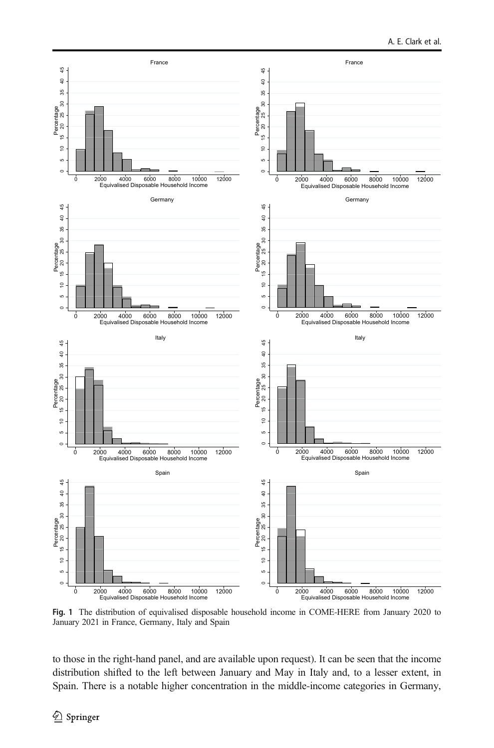<span id="page-7-0"></span>

Fig. 1 The distribution of equivalised disposable household income in COME-HERE from January 2020 to January 2021 in France, Germany, Italy and Spain

to those in the right-hand panel, and are available upon request). It can be seen that the income distribution shifted to the left between January and May in Italy and, to a lesser extent, in Spain. There is a notable higher concentration in the middle-income categories in Germany,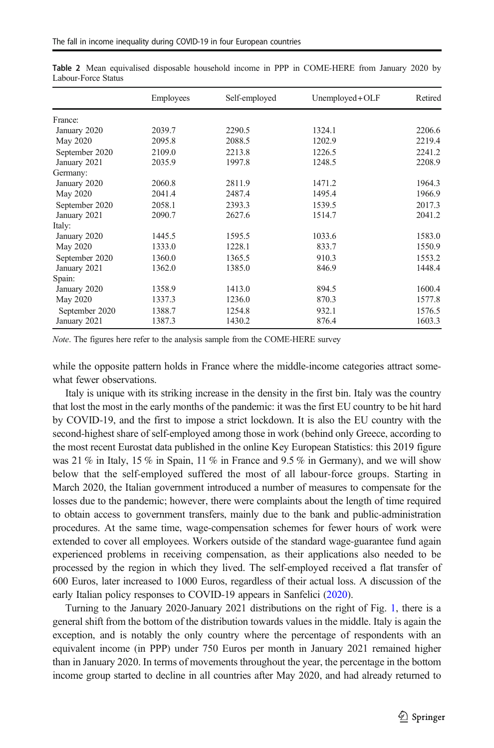|                | Employees | Self-employed | $Unemployed + OLF$ | Retired |
|----------------|-----------|---------------|--------------------|---------|
| France:        |           |               |                    |         |
| January 2020   | 2039.7    | 2290.5        | 1324.1             | 2206.6  |
| May 2020       | 2095.8    | 2088.5        | 1202.9             | 2219.4  |
| September 2020 | 2109.0    | 2213.8        | 1226.5             | 2241.2  |
| January 2021   | 2035.9    | 1997.8        | 1248.5             | 2208.9  |
| Germany:       |           |               |                    |         |
| January 2020   | 2060.8    | 2811.9        | 1471.2             | 1964.3  |
| May 2020       | 2041.4    | 2487.4        | 1495.4             | 1966.9  |
| September 2020 | 2058.1    | 2393.3        | 1539.5             | 2017.3  |
| January 2021   | 2090.7    | 2627.6        | 1514.7             | 2041.2  |
| Italy:         |           |               |                    |         |
| January 2020   | 1445.5    | 1595.5        | 1033.6             | 1583.0  |
| May 2020       | 1333.0    | 1228.1        | 833.7              | 1550.9  |
| September 2020 | 1360.0    | 1365.5        | 910.3              | 1553.2  |
| January 2021   | 1362.0    | 1385.0        | 846.9              | 1448.4  |
| Spain:         |           |               |                    |         |
| January 2020   | 1358.9    | 1413.0        | 894.5              | 1600.4  |
| May 2020       | 1337.3    | 1236.0        | 870.3              | 1577.8  |
| September 2020 | 1388.7    | 1254.8        | 932.1              | 1576.5  |
| January 2021   | 1387.3    | 1430.2        | 876.4              | 1603.3  |

<span id="page-8-0"></span>Table 2 Mean equivalised disposable household income in PPP in COME-HERE from January 2020 by Labour-Force Status

Note. The figures here refer to the analysis sample from the COME-HERE survey

while the opposite pattern holds in France where the middle-income categories attract somewhat fewer observations.

Italy is unique with its striking increase in the density in the first bin. Italy was the country that lost the most in the early months of the pandemic: it was the first EU country to be hit hard by COVID-19, and the first to impose a strict lockdown. It is also the EU country with the second-highest share of self-employed among those in work (behind only Greece, according to the most recent Eurostat data published in the online Key European Statistics: this 2019 figure was 21 % in Italy, 15 % in Spain, 11 % in France and 9.5 % in Germany), and we will show below that the self-employed suffered the most of all labour-force groups. Starting in March 2020, the Italian government introduced a number of measures to compensate for the losses due to the pandemic; however, there were complaints about the length of time required to obtain access to government transfers, mainly due to the bank and public-administration procedures. At the same time, wage-compensation schemes for fewer hours of work were extended to cover all employees. Workers outside of the standard wage-guarantee fund again experienced problems in receiving compensation, as their applications also needed to be processed by the region in which they lived. The self-employed received a flat transfer of 600 Euros, later increased to 1000 Euros, regardless of their actual loss. A discussion of the early Italian policy responses to COVID-19 appears in Sanfelici ([2020](#page-18-0)).

Turning to the January 2020-January 2021 distributions on the right of Fig. [1](#page-7-0), there is a general shift from the bottom of the distribution towards values in the middle. Italy is again the exception, and is notably the only country where the percentage of respondents with an equivalent income (in PPP) under 750 Euros per month in January 2021 remained higher than in January 2020. In terms of movements throughout the year, the percentage in the bottom income group started to decline in all countries after May 2020, and had already returned to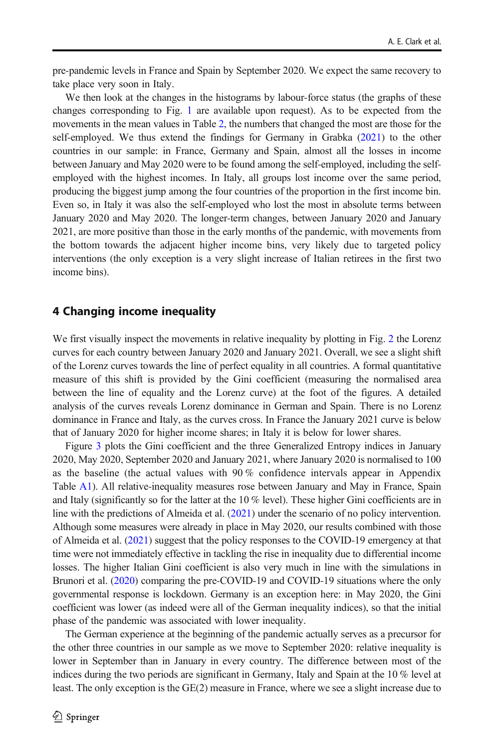<span id="page-9-0"></span>pre-pandemic levels in France and Spain by September 2020. We expect the same recovery to take place very soon in Italy.

We then look at the changes in the histograms by labour-force status (the graphs of these changes corresponding to Fig. [1](#page-7-0) are available upon request). As to be expected from the movements in the mean values in Table [2](#page-8-0), the numbers that changed the most are those for the self-employed. We thus extend the findings for Germany in Grabka  $(2021)$  $(2021)$  $(2021)$  to the other countries in our sample: in France, Germany and Spain, almost all the losses in income between January and May 2020 were to be found among the self-employed, including the selfemployed with the highest incomes. In Italy, all groups lost income over the same period, producing the biggest jump among the four countries of the proportion in the first income bin. Even so, in Italy it was also the self-employed who lost the most in absolute terms between January 2020 and May 2020. The longer-term changes, between January 2020 and January 2021, are more positive than those in the early months of the pandemic, with movements from the bottom towards the adjacent higher income bins, very likely due to targeted policy interventions (the only exception is a very slight increase of Italian retirees in the first two income bins).

### 4 Changing income inequality

We first visually inspect the movements in relative inequality by plotting in Fig. [2](#page-10-0) the Lorenz curves for each country between January 2020 and January 2021. Overall, we see a slight shift of the Lorenz curves towards the line of perfect equality in all countries. A formal quantitative measure of this shift is provided by the Gini coefficient (measuring the normalised area between the line of equality and the Lorenz curve) at the foot of the figures. A detailed analysis of the curves reveals Lorenz dominance in German and Spain. There is no Lorenz dominance in France and Italy, as the curves cross. In France the January 2021 curve is below that of January 2020 for higher income shares; in Italy it is below for lower shares.

Figure [3](#page-11-0) plots the Gini coefficient and the three Generalized Entropy indices in January 2020, May 2020, September 2020 and January 2021, where January 2020 is normalised to 100 as the baseline (the actual values with 90 % confidence intervals appear in Appendix Table A1). All relative-inequality measures rose between January and May in France, Spain and Italy (significantly so for the latter at the 10 % level). These higher Gini coefficients are in line with the predictions of Almeida et al. [\(2021\)](#page-17-0) under the scenario of no policy intervention. Although some measures were already in place in May 2020, our results combined with those of Almeida et al. ([2021](#page-17-0)) suggest that the policy responses to the COVID-19 emergency at that time were not immediately effective in tackling the rise in inequality due to differential income losses. The higher Italian Gini coefficient is also very much in line with the simulations in Brunori et al. [\(2020\)](#page-17-0) comparing the pre-COVID-19 and COVID-19 situations where the only governmental response is lockdown. Germany is an exception here: in May 2020, the Gini coefficient was lower (as indeed were all of the German inequality indices), so that the initial phase of the pandemic was associated with lower inequality.

The German experience at the beginning of the pandemic actually serves as a precursor for the other three countries in our sample as we move to September 2020: relative inequality is lower in September than in January in every country. The difference between most of the indices during the two periods are significant in Germany, Italy and Spain at the 10 % level at least. The only exception is the GE(2) measure in France, where we see a slight increase due to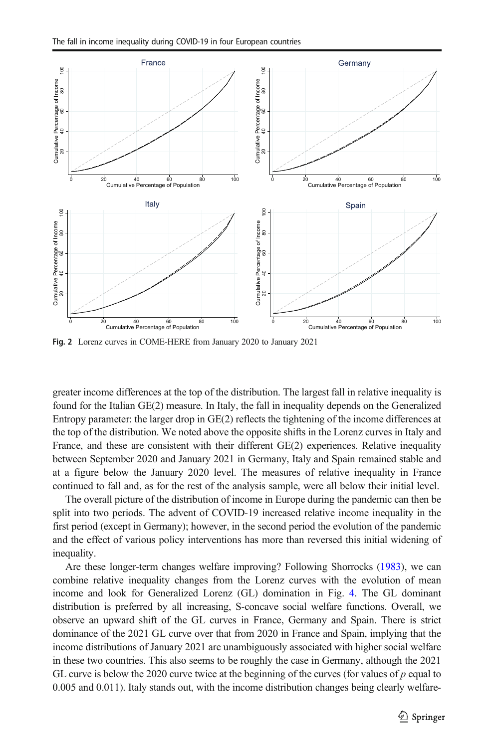<span id="page-10-0"></span>

Fig. 2 Lorenz curves in COME-HERE from January 2020 to January 2021

greater income differences at the top of the distribution. The largest fall in relative inequality is found for the Italian GE(2) measure. In Italy, the fall in inequality depends on the Generalized Entropy parameter: the larger drop in GE(2) reflects the tightening of the income differences at the top of the distribution. We noted above the opposite shifts in the Lorenz curves in Italy and France, and these are consistent with their different GE(2) experiences. Relative inequality between September 2020 and January 2021 in Germany, Italy and Spain remained stable and at a figure below the January 2020 level. The measures of relative inequality in France continued to fall and, as for the rest of the analysis sample, were all below their initial level.

The overall picture of the distribution of income in Europe during the pandemic can then be split into two periods. The advent of COVID-19 increased relative income inequality in the first period (except in Germany); however, in the second period the evolution of the pandemic and the effect of various policy interventions has more than reversed this initial widening of inequality.

Are these longer-term changes welfare improving? Following Shorrocks [\(1983\)](#page-18-0), we can combine relative inequality changes from the Lorenz curves with the evolution of mean income and look for Generalized Lorenz (GL) domination in Fig. [4](#page-12-0). The GL dominant distribution is preferred by all increasing, S-concave social welfare functions. Overall, we observe an upward shift of the GL curves in France, Germany and Spain. There is strict dominance of the 2021 GL curve over that from 2020 in France and Spain, implying that the income distributions of January 2021 are unambiguously associated with higher social welfare in these two countries. This also seems to be roughly the case in Germany, although the 2021 GL curve is below the 2020 curve twice at the beginning of the curves (for values of  $p$  equal to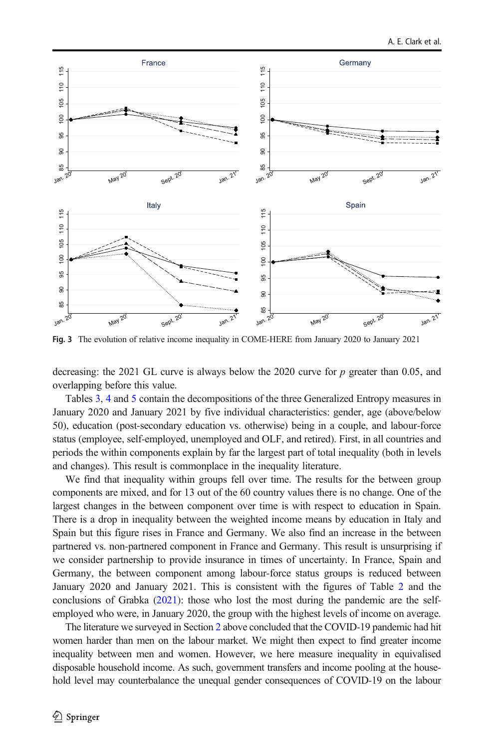<span id="page-11-0"></span>

Fig. 3 The evolution of relative income inequality in COME-HERE from January 2020 to January 2021

decreasing: the 2021 GL curve is always below the 2020 curve for  $p$  greater than 0.05, and overlapping before this value.

Tables [3](#page-12-0), [4](#page-13-0) and [5](#page-14-0) contain the decompositions of the three Generalized Entropy measures in January 2020 and January 2021 by five individual characteristics: gender, age (above/below 50), education (post-secondary education vs. otherwise) being in a couple, and labour-force status (employee, self-employed, unemployed and OLF, and retired). First, in all countries and periods the within components explain by far the largest part of total inequality (both in levels and changes). This result is commonplace in the inequality literature.

We find that inequality within groups fell over time. The results for the between group components are mixed, and for 13 out of the 60 country values there is no change. One of the largest changes in the between component over time is with respect to education in Spain. There is a drop in inequality between the weighted income means by education in Italy and Spain but this figure rises in France and Germany. We also find an increase in the between partnered vs. non-partnered component in France and Germany. This result is unsurprising if we consider partnership to provide insurance in times of uncertainty. In France, Spain and Germany, the between component among labour-force status groups is reduced between January 2020 and January 2021. This is consistent with the figures of Table [2](#page-8-0) and the conclusions of Grabka [\(2021\)](#page-17-0): those who lost the most during the pandemic are the selfemployed who were, in January 2020, the group with the highest levels of income on average.

The literature we surveyed in Section [2](#page-1-0) above concluded that the COVID-19 pandemic had hit women harder than men on the labour market. We might then expect to find greater income inequality between men and women. However, we here measure inequality in equivalised disposable household income. As such, government transfers and income pooling at the house-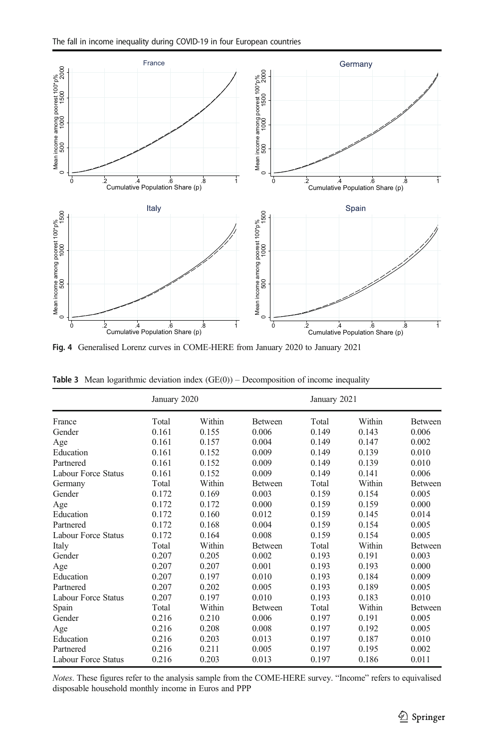<span id="page-12-0"></span>

Fig. 4 Generalised Lorenz curves in COME-HERE from January 2020 to January 2021

|                     | January 2020 |        |                | January 2021 |        |                |
|---------------------|--------------|--------|----------------|--------------|--------|----------------|
| France              | Total        | Within | Between        | Total        | Within | Between        |
| Gender              | 0.161        | 0.155  | 0.006          | 0.149        | 0.143  | 0.006          |
| Age                 | 0.161        | 0.157  | 0.004          | 0.149        | 0.147  | 0.002          |
| Education           | 0.161        | 0.152  | 0.009          | 0.149        | 0.139  | 0.010          |
| Partnered           | 0.161        | 0.152  | 0.009          | 0.149        | 0.139  | 0.010          |
| Labour Force Status | 0.161        | 0.152  | 0.009          | 0.149        | 0.141  | 0.006          |
| Germany             | Total        | Within | <b>Between</b> | Total        | Within | <b>Between</b> |
| Gender              | 0.172        | 0.169  | 0.003          | 0.159        | 0.154  | 0.005          |
| Age                 | 0.172        | 0.172  | 0.000          | 0.159        | 0.159  | 0.000          |
| Education           | 0.172        | 0.160  | 0.012          | 0.159        | 0.145  | 0.014          |
| Partnered           | 0.172        | 0.168  | 0.004          | 0.159        | 0.154  | 0.005          |
| Labour Force Status | 0.172        | 0.164  | 0.008          | 0.159        | 0.154  | 0.005          |
| Italy               | Total        | Within | <b>Between</b> | Total        | Within | <b>Between</b> |
| Gender              | 0.207        | 0.205  | 0.002          | 0.193        | 0.191  | 0.003          |
| Age                 | 0.207        | 0.207  | 0.001          | 0.193        | 0.193  | 0.000          |
| Education           | 0.207        | 0.197  | 0.010          | 0.193        | 0.184  | 0.009          |
| Partnered           | 0.207        | 0.202  | 0.005          | 0.193        | 0.189  | 0.005          |
| Labour Force Status | 0.207        | 0.197  | 0.010          | 0.193        | 0.183  | 0.010          |
| Spain               | Total        | Within | Between        | Total        | Within | <b>Between</b> |
| Gender              | 0.216        | 0.210  | 0.006          | 0.197        | 0.191  | 0.005          |
| Age                 | 0.216        | 0.208  | 0.008          | 0.197        | 0.192  | 0.005          |
| Education           | 0.216        | 0.203  | 0.013          | 0.197        | 0.187  | 0.010          |
| Partnered           | 0.216        | 0.211  | 0.005          | 0.197        | 0.195  | 0.002          |
| Labour Force Status | 0.216        | 0.203  | 0.013          | 0.197        | 0.186  | 0.011          |

**Table 3** Mean logarithmic deviation index  $(GE(0))$  – Decomposition of income inequality

Notes. These figures refer to the analysis sample from the COME-HERE survey. "Income" refers to equivalised disposable household monthly income in Euros and PPP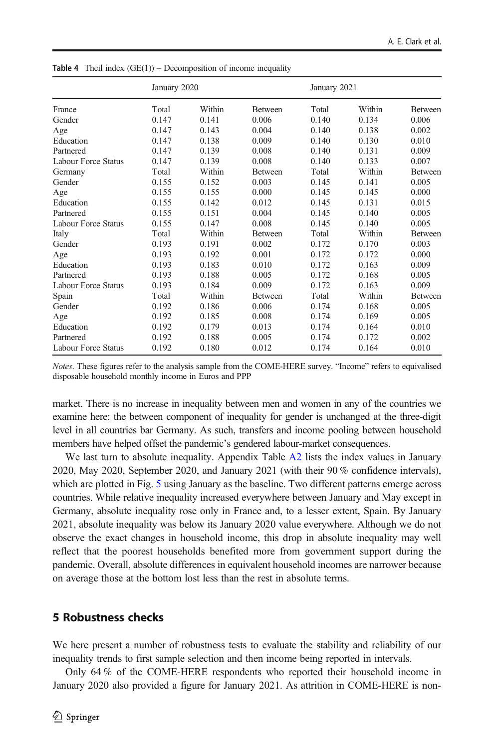|                     | January 2020 |        |                |       | January 2021 |                |  |
|---------------------|--------------|--------|----------------|-------|--------------|----------------|--|
| France              | Total        | Within | <b>Between</b> | Total | Within       | <b>Between</b> |  |
| Gender              | 0.147        | 0.141  | 0.006          | 0.140 | 0.134        | 0.006          |  |
| Age                 | 0.147        | 0.143  | 0.004          | 0.140 | 0.138        | 0.002          |  |
| Education           | 0.147        | 0.138  | 0.009          | 0.140 | 0.130        | 0.010          |  |
| Partnered           | 0.147        | 0.139  | 0.008          | 0.140 | 0.131        | 0.009          |  |
| Labour Force Status | 0.147        | 0.139  | 0.008          | 0.140 | 0.133        | 0.007          |  |
| Germany             | Total        | Within | <b>Between</b> | Total | Within       | <b>Between</b> |  |
| Gender              | 0.155        | 0.152  | 0.003          | 0.145 | 0.141        | 0.005          |  |
| Age                 | 0.155        | 0.155  | 0.000          | 0.145 | 0.145        | 0.000          |  |
| Education           | 0.155        | 0.142  | 0.012          | 0.145 | 0.131        | 0.015          |  |
| Partnered           | 0.155        | 0.151  | 0.004          | 0.145 | 0.140        | 0.005          |  |
| Labour Force Status | 0.155        | 0.147  | 0.008          | 0.145 | 0.140        | 0.005          |  |
| Italy               | Total        | Within | <b>Between</b> | Total | Within       | <b>Between</b> |  |
| Gender              | 0.193        | 0.191  | 0.002          | 0.172 | 0.170        | 0.003          |  |
| Age                 | 0.193        | 0.192  | 0.001          | 0.172 | 0.172        | 0.000          |  |
| Education           | 0.193        | 0.183  | 0.010          | 0.172 | 0.163        | 0.009          |  |
| Partnered           | 0.193        | 0.188  | 0.005          | 0.172 | 0.168        | 0.005          |  |
| Labour Force Status | 0.193        | 0.184  | 0.009          | 0.172 | 0.163        | 0.009          |  |
| Spain               | Total        | Within | <b>Between</b> | Total | Within       | <b>Between</b> |  |
| Gender              | 0.192        | 0.186  | 0.006          | 0.174 | 0.168        | 0.005          |  |
| Age                 | 0.192        | 0.185  | 0.008          | 0.174 | 0.169        | 0.005          |  |
| Education           | 0.192        | 0.179  | 0.013          | 0.174 | 0.164        | 0.010          |  |
| Partnered           | 0.192        | 0.188  | 0.005          | 0.174 | 0.172        | 0.002          |  |
| Labour Force Status | 0.192        | 0.180  | 0.012          | 0.174 | 0.164        | 0.010          |  |

<span id="page-13-0"></span>**Table 4** Theil index  $(GE(1))$  – Decomposition of income inequality

Notes. These figures refer to the analysis sample from the COME-HERE survey. "Income" refers to equivalised disposable household monthly income in Euros and PPP

market. There is no increase in inequality between men and women in any of the countries we examine here: the between component of inequality for gender is unchanged at the three-digit level in all countries bar Germany. As such, transfers and income pooling between household members have helped offset the pandemic's gendered labour-market consequences.

We last turn to absolute inequality. Appendix Table A2 lists the index values in January 2020, May 2020, September 2020, and January 2021 (with their 90 % confidence intervals), which are plotted in Fig. [5](#page-15-0) using January as the baseline. Two different patterns emerge across countries. While relative inequality increased everywhere between January and May except in Germany, absolute inequality rose only in France and, to a lesser extent, Spain. By January 2021, absolute inequality was below its January 2020 value everywhere. Although we do not observe the exact changes in household income, this drop in absolute inequality may well reflect that the poorest households benefited more from government support during the pandemic. Overall, absolute differences in equivalent household incomes are narrower because on average those at the bottom lost less than the rest in absolute terms.

## 5 Robustness checks

We here present a number of robustness tests to evaluate the stability and reliability of our inequality trends to first sample selection and then income being reported in intervals.

Only 64 % of the COME-HERE respondents who reported their household income in January 2020 also provided a figure for January 2021. As attrition in COME-HERE is non-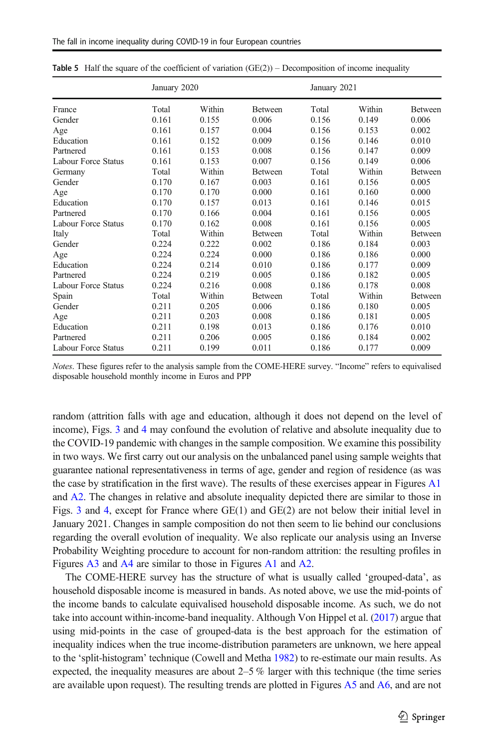| France              | January 2020 |        |                | January 2021 |        |                |
|---------------------|--------------|--------|----------------|--------------|--------|----------------|
|                     | Total        | Within | <b>Between</b> | Total        | Within | <b>Between</b> |
| Gender              | 0.161        | 0.155  | 0.006          | 0.156        | 0.149  | 0.006          |
| Age                 | 0.161        | 0.157  | 0.004          | 0.156        | 0.153  | 0.002          |
| Education           | 0.161        | 0.152  | 0.009          | 0.156        | 0.146  | 0.010          |
| Partnered           | 0.161        | 0.153  | 0.008          | 0.156        | 0.147  | 0.009          |
| Labour Force Status | 0.161        | 0.153  | 0.007          | 0.156        | 0.149  | 0.006          |
| Germany             | Total        | Within | Between        | Total        | Within | <b>Between</b> |
| Gender              | 0.170        | 0.167  | 0.003          | 0.161        | 0.156  | 0.005          |
| Age                 | 0.170        | 0.170  | 0.000          | 0.161        | 0.160  | 0.000          |
| Education           | 0.170        | 0.157  | 0.013          | 0.161        | 0.146  | 0.015          |
| Partnered           | 0.170        | 0.166  | 0.004          | 0.161        | 0.156  | 0.005          |
| Labour Force Status | 0.170        | 0.162  | 0.008          | 0.161        | 0.156  | 0.005          |
| Italy               | Total        | Within | <b>Between</b> | Total        | Within | <b>Between</b> |
| Gender              | 0.224        | 0.222  | 0.002          | 0.186        | 0.184  | 0.003          |
| Age                 | 0.224        | 0.224  | 0.000          | 0.186        | 0.186  | 0.000          |
| Education           | 0.224        | 0.214  | 0.010          | 0.186        | 0.177  | 0.009          |
| Partnered           | 0.224        | 0.219  | 0.005          | 0.186        | 0.182  | 0.005          |
| Labour Force Status | 0.224        | 0.216  | 0.008          | 0.186        | 0.178  | 0.008          |
| Spain               | Total        | Within | <b>Between</b> | Total        | Within | <b>Between</b> |
| Gender              | 0.211        | 0.205  | 0.006          | 0.186        | 0.180  | 0.005          |
| Age                 | 0.211        | 0.203  | 0.008          | 0.186        | 0.181  | 0.005          |
| Education           | 0.211        | 0.198  | 0.013          | 0.186        | 0.176  | 0.010          |
| Partnered           | 0.211        | 0.206  | 0.005          | 0.186        | 0.184  | 0.002          |
| Labour Force Status | 0.211        | 0.199  | 0.011          | 0.186        | 0.177  | 0.009          |

<span id="page-14-0"></span>**Table 5** Half the square of the coefficient of variation  $(GE(2))$  – Decomposition of income inequality

random (attrition falls with age and education, although it does not depend on the level of income), Figs. [3](#page-11-0) and [4](#page-12-0) may confound the evolution of relative and absolute inequality due to the COVID-19 pandemic with changes in the sample composition. We examine this possibility in two ways. We first carry out our analysis on the unbalanced panel using sample weights that guarantee national representativeness in terms of age, gender and region of residence (as was the case by stratification in the first wave). The results of these exercises appear in Figures A1 and A2. The changes in relative and absolute inequality depicted there are similar to those in Figs. [3](#page-11-0) and [4](#page-12-0), except for France where GE(1) and GE(2) are not below their initial level in January 2021. Changes in sample composition do not then seem to lie behind our conclusions regarding the overall evolution of inequality. We also replicate our analysis using an Inverse Probability Weighting procedure to account for non-random attrition: the resulting profiles in Figures A3 and A4 are similar to those in Figures A1 and A2.

The COME-HERE survey has the structure of what is usually called 'grouped-data', as household disposable income is measured in bands. As noted above, we use the mid-points of the income bands to calculate equivalised household disposable income. As such, we do not take into account within-income-band inequality. Although Von Hippel et al. ([2017](#page-18-0)) argue that using mid-points in the case of grouped-data is the best approach for the estimation of inequality indices when the true income-distribution parameters are unknown, we here appeal to the 'split-histogram' technique (Cowell and Metha [1982](#page-17-0)) to re-estimate our main results. As expected, the inequality measures are about  $2-5\%$  larger with this technique (the time series are available upon request). The resulting trends are plotted in Figures A5 and A6, and are not

Notes. These figures refer to the analysis sample from the COME-HERE survey. "Income" refers to equivalised disposable household monthly income in Euros and PPP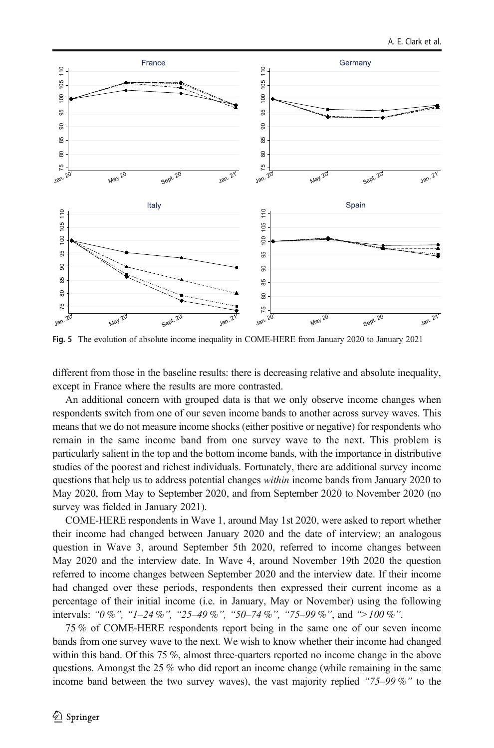<span id="page-15-0"></span>

Fig. 5 The evolution of absolute income inequality in COME-HERE from January 2020 to January 2021

different from those in the baseline results: there is decreasing relative and absolute inequality, except in France where the results are more contrasted.

An additional concern with grouped data is that we only observe income changes when respondents switch from one of our seven income bands to another across survey waves. This means that we do not measure income shocks (either positive or negative) for respondents who remain in the same income band from one survey wave to the next. This problem is particularly salient in the top and the bottom income bands, with the importance in distributive studies of the poorest and richest individuals. Fortunately, there are additional survey income questions that help us to address potential changes within income bands from January 2020 to May 2020, from May to September 2020, and from September 2020 to November 2020 (no survey was fielded in January 2021).

COME-HERE respondents in Wave 1, around May 1st 2020, were asked to report whether their income had changed between January 2020 and the date of interview; an analogous question in Wave 3, around September 5th 2020, referred to income changes between May 2020 and the interview date. In Wave 4, around November 19th 2020 the question referred to income changes between September 2020 and the interview date. If their income had changed over these periods, respondents then expressed their current income as a percentage of their initial income (i.e. in January, May or November) using the following intervals: "0 %", "1–24 %", "25–49 %", "50–74 %", "75–99 %", and ">100 %".

75 % of COME-HERE respondents report being in the same one of our seven income bands from one survey wave to the next. We wish to know whether their income had changed within this band. Of this 75 %, almost three-quarters reported no income change in the above questions. Amongst the 25 % who did report an income change (while remaining in the same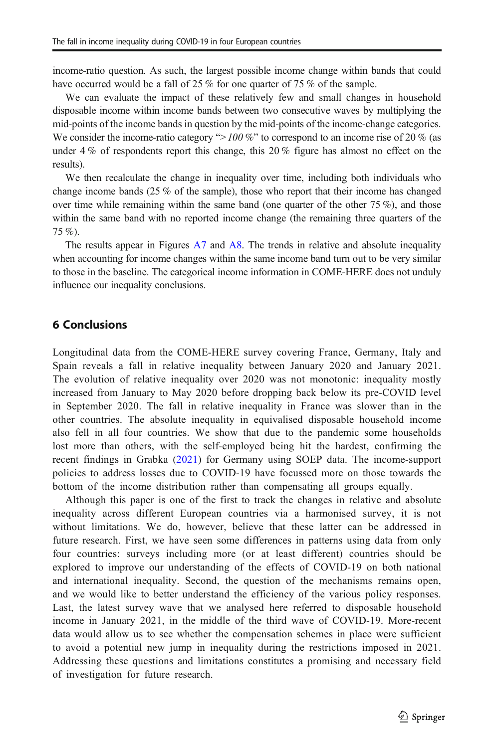<span id="page-16-0"></span>income-ratio question. As such, the largest possible income change within bands that could have occurred would be a fall of 25 % for one quarter of 75 % of the sample.

We can evaluate the impact of these relatively few and small changes in household disposable income within income bands between two consecutive waves by multiplying the mid-points of the income bands in question by the mid-points of the income-change categories. We consider the income-ratio category " $>100\%$ " to correspond to an income rise of 20% (as under 4 % of respondents report this change, this 20 % figure has almost no effect on the results).

We then recalculate the change in inequality over time, including both individuals who change income bands (25 % of the sample), those who report that their income has changed over time while remaining within the same band (one quarter of the other  $75\%$ ), and those within the same band with no reported income change (the remaining three quarters of the 75 %).

The results appear in Figures A7 and A8. The trends in relative and absolute inequality when accounting for income changes within the same income band turn out to be very similar to those in the baseline. The categorical income information in COME-HERE does not unduly influence our inequality conclusions.

# 6 Conclusions

Longitudinal data from the COME-HERE survey covering France, Germany, Italy and Spain reveals a fall in relative inequality between January 2020 and January 2021. The evolution of relative inequality over 2020 was not monotonic: inequality mostly increased from January to May 2020 before dropping back below its pre-COVID level in September 2020. The fall in relative inequality in France was slower than in the other countries. The absolute inequality in equivalised disposable household income also fell in all four countries. We show that due to the pandemic some households lost more than others, with the self-employed being hit the hardest, confirming the recent findings in Grabka ([2021](#page-17-0)) for Germany using SOEP data. The income-support policies to address losses due to COVID-19 have focussed more on those towards the bottom of the income distribution rather than compensating all groups equally.

Although this paper is one of the first to track the changes in relative and absolute inequality across different European countries via a harmonised survey, it is not without limitations. We do, however, believe that these latter can be addressed in future research. First, we have seen some differences in patterns using data from only four countries: surveys including more (or at least different) countries should be explored to improve our understanding of the effects of COVID-19 on both national and international inequality. Second, the question of the mechanisms remains open, and we would like to better understand the efficiency of the various policy responses. Last, the latest survey wave that we analysed here referred to disposable household income in January 2021, in the middle of the third wave of COVID-19. More-recent data would allow us to see whether the compensation schemes in place were sufficient to avoid a potential new jump in inequality during the restrictions imposed in 2021. Addressing these questions and limitations constitutes a promising and necessary field of investigation for future research.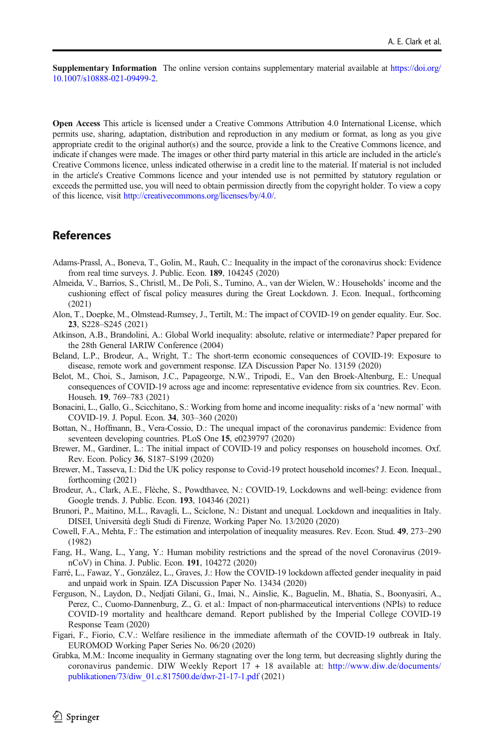<span id="page-17-0"></span>Supplementary Information The online version contains supplementary material available at [https://doi.org/](https://doi.org/10.1007/s10888-021-09499-2) [10.1007/s10888-021-09499-2.](https://doi.org/10.1007/s10888-021-09499-2)

Open Access This article is licensed under a Creative Commons Attribution 4.0 International License, which permits use, sharing, adaptation, distribution and reproduction in any medium or format, as long as you give appropriate credit to the original author(s) and the source, provide a link to the Creative Commons licence, and indicate if changes were made. The images or other third party material in this article are included in the article's Creative Commons licence, unless indicated otherwise in a credit line to the material. If material is not included in the article's Creative Commons licence and your intended use is not permitted by statutory regulation or exceeds the permitted use, you will need to obtain permission directly from the copyright holder. To view a copy of this licence, visit [http://creativecommons.org/licenses/by/4.0/.](https://doi.org/)

# **References**

- Adams-Prassl, A., Boneva, T., Golin, M., Rauh, C.: Inequality in the impact of the coronavirus shock: Evidence from real time surveys. J. Public. Econ. 189, 104245 (2020)
- Almeida, V., Barrios, S., Christl, M., De Poli, S., Tumino, A., van der Wielen, W.: Households' income and the cushioning effect of fiscal policy measures during the Great Lockdown. J. Econ. Inequal., forthcoming (2021)
- Alon, T., Doepke, M., Olmstead-Rumsey, J., Tertilt, M.: The impact of COVID-19 on gender equality. Eur. Soc. 23, S228–S245 (2021)
- Atkinson, A.B., Brandolini, A.: Global World inequality: absolute, relative or intermediate? Paper prepared for the 28th General IARIW Conference (2004)
- Beland, L.P., Brodeur, A., Wright, T.: The short-term economic consequences of COVID-19: Exposure to disease, remote work and government response. IZA Discussion Paper No. 13159 (2020)
- Belot, M., Choi, S., Jamison, J.C., Papageorge, N.W., Tripodi, E., Van den Broek-Altenburg, E.: Unequal consequences of COVID-19 across age and income: representative evidence from six countries. Rev. Econ. Househ. 19, 769–783 (2021)
- Bonacini, L., Gallo, G., Scicchitano, S.: Working from home and income inequality: risks of a 'new normal' with COVID-19. J. Popul. Econ. 34, 303–360 (2020)
- Bottan, N., Hoffmann, B., Vera-Cossio, D.: The unequal impact of the coronavirus pandemic: Evidence from seventeen developing countries. PLoS One 15, e0239797 (2020)
- Brewer, M., Gardiner, L.: The initial impact of COVID-19 and policy responses on household incomes. Oxf. Rev. Econ. Policy 36, S187–S199 (2020)
- Brewer, M., Tasseva, I.: Did the UK policy response to Covid-19 protect household incomes? J. Econ. Inequal., forthcoming (2021)
- Brodeur, A., Clark, A.E., Flèche, S., Powdthavee, N.: COVID-19, Lockdowns and well-being: evidence from Google trends. J. Public. Econ. 193, 104346 (2021)
- Brunori, P., Maitino, M.L., Ravagli, L., Sciclone, N.: Distant and unequal. Lockdown and inequalities in Italy. DISEI, Università degli Studi di Firenze, Working Paper No. 13/2020 (2020)
- Cowell, F.A., Mehta, F.: The estimation and interpolation of inequality measures. Rev. Econ. Stud. 49, 273–290 (1982)
- Fang, H., Wang, L., Yang, Y.: Human mobility restrictions and the spread of the novel Coronavirus (2019 nCoV) in China. J. Public. Econ. 191, 104272 (2020)
- Farré, L., Fawaz, Y., González, L., Graves, J.: How the COVID-19 lockdown affected gender inequality in paid and unpaid work in Spain. IZA Discussion Paper No. 13434 (2020)
- Ferguson, N., Laydon, D., Nedjati Gilani, G., Imai, N., Ainslie, K., Baguelin, M., Bhatia, S., Boonyasiri, A., Perez, C., Cuomo-Dannenburg, Z., G. et al.: Impact of non-pharmaceutical interventions (NPIs) to reduce COVID-19 mortality and healthcare demand. Report published by the Imperial College COVID-19 Response Team (2020)
- Figari, F., Fiorio, C.V.: Welfare resilience in the immediate aftermath of the COVID-19 outbreak in Italy. EUROMOD Working Paper Series No. 06/20 (2020)
- Grabka, M.M.: Income inequality in Germany stagnating over the long term, but decreasing slightly during the coronavirus pandemic. DIW Weekly Report 17 + 18 available at: [http://www.diw.de/documents/](http://www.diw.de/documents/publikationen/73/diw_01.c.817500.de/dwr--21--17--1.pdf) [publikationen/73/diw\\_01.c.817500.de/dwr-21-17-1.pdf](http://www.diw.de/documents/publikationen/73/diw_01.c.817500.de/dwr--21--17--1.pdf) (2021)